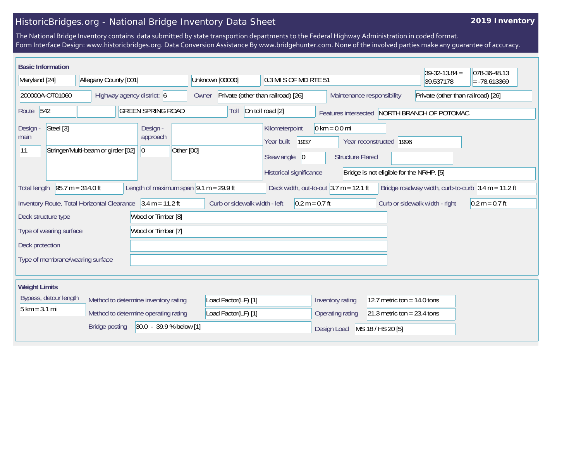## HistoricBridges.org - National Bridge Inventory Data Sheet

## **2019 Inventory**

The National Bridge Inventory contains data submitted by state transportion departments to the Federal Highway Administration in coded format. Form Interface Design: www.historicbridges.org. Data Conversion Assistance By www.bridgehunter.com. None of the involved parties make any guarantee of accuracy.

| <b>Basic Information</b><br>Maryland [24]                                                                                                                                   |                                                                                                                                                                                     | Allegany County [001]              |  |                                                                          |            |                                                                |  |                                                   | 0.3 MI S OF MD RTE 51                                                 |                            |  |                                                            |                                    |                         | $39-32-13.84 =$<br>39.537178             |  | 078-36-48.13<br>$= -78.613369$ |
|-----------------------------------------------------------------------------------------------------------------------------------------------------------------------------|-------------------------------------------------------------------------------------------------------------------------------------------------------------------------------------|------------------------------------|--|--------------------------------------------------------------------------|------------|----------------------------------------------------------------|--|---------------------------------------------------|-----------------------------------------------------------------------|----------------------------|--|------------------------------------------------------------|------------------------------------|-------------------------|------------------------------------------|--|--------------------------------|
| 200000A-OT01060                                                                                                                                                             |                                                                                                                                                                                     | Highway agency district: 6         |  |                                                                          |            | Unknown [00000]<br>Private (other than railroad) [26]<br>Owner |  |                                                   |                                                                       | Maintenance responsibility |  |                                                            | Private (other than railroad) [26] |                         |                                          |  |                                |
| Route 542<br><b>GREEN SPRING ROAD</b>                                                                                                                                       |                                                                                                                                                                                     |                                    |  | On toll road [2]<br>Toll<br>Features intersected NORTH BRANCH OF POTOMAC |            |                                                                |  |                                                   |                                                                       |                            |  |                                                            |                                    |                         |                                          |  |                                |
| Design<br>main<br> 11                                                                                                                                                       | Steel [3]                                                                                                                                                                           | Stringer/Multi-beam or girder [02] |  | Design -<br>approach<br> 0                                               | Other [00] |                                                                |  |                                                   | Kilometerpoint<br>Year built<br>Skew angle<br>Historical significance | 1937<br>$ 0\rangle$        |  | $0 \text{ km} = 0.0 \text{ mi}$<br><b>Structure Flared</b> |                                    | Year reconstructed 1996 | Bridge is not eligible for the NRHP. [5] |  |                                |
| <b>Total length</b>                                                                                                                                                         | Length of maximum span $9.1 m = 29.9 ft$<br>$95.7 m = 314.0 ft$<br>Deck width, out-to-out $3.7$ m = 12.1 ft<br>Bridge roadway width, curb-to-curb $3.4 \text{ m} = 11.2 \text{ ft}$ |                                    |  |                                                                          |            |                                                                |  |                                                   |                                                                       |                            |  |                                                            |                                    |                         |                                          |  |                                |
| $3.4 m = 11.2 ft$<br>Curb or sidewalk width - left<br>Inventory Route, Total Horizontal Clearance<br>$0.2 m = 0.7 ft$<br>Curb or sidewalk width - right<br>$0.2 m = 0.7 ft$ |                                                                                                                                                                                     |                                    |  |                                                                          |            |                                                                |  |                                                   |                                                                       |                            |  |                                                            |                                    |                         |                                          |  |                                |
| Wood or Timber [8]<br>Deck structure type                                                                                                                                   |                                                                                                                                                                                     |                                    |  |                                                                          |            |                                                                |  |                                                   |                                                                       |                            |  |                                                            |                                    |                         |                                          |  |                                |
| Wood or Timber [7]<br>Type of wearing surface                                                                                                                               |                                                                                                                                                                                     |                                    |  |                                                                          |            |                                                                |  |                                                   |                                                                       |                            |  |                                                            |                                    |                         |                                          |  |                                |
| Deck protection                                                                                                                                                             |                                                                                                                                                                                     |                                    |  |                                                                          |            |                                                                |  |                                                   |                                                                       |                            |  |                                                            |                                    |                         |                                          |  |                                |
| Type of membrane/wearing surface                                                                                                                                            |                                                                                                                                                                                     |                                    |  |                                                                          |            |                                                                |  |                                                   |                                                                       |                            |  |                                                            |                                    |                         |                                          |  |                                |
| <b>Weight Limits</b>                                                                                                                                                        |                                                                                                                                                                                     |                                    |  |                                                                          |            |                                                                |  |                                                   |                                                                       |                            |  |                                                            |                                    |                         |                                          |  |                                |
| Bypass, detour length<br>Method to determine inventory rating                                                                                                               |                                                                                                                                                                                     |                                    |  | Load Factor(LF) [1]                                                      |            |                                                                |  | 12.7 metric ton = $14.0$ tons<br>Inventory rating |                                                                       |                            |  |                                                            |                                    |                         |                                          |  |                                |
| $5 \text{ km} = 3.1 \text{ mi}$<br>Method to determine operating rating                                                                                                     |                                                                                                                                                                                     |                                    |  | Load Factor(LF) [1]                                                      |            |                                                                |  | 21.3 metric ton = $23.4$ tons<br>Operating rating |                                                                       |                            |  |                                                            |                                    |                         |                                          |  |                                |
| 30.0 - 39.9 % below [1]<br><b>Bridge posting</b>                                                                                                                            |                                                                                                                                                                                     |                                    |  |                                                                          |            |                                                                |  | MS 18 / HS 20 [5]<br>Design Load                  |                                                                       |                            |  |                                                            |                                    |                         |                                          |  |                                |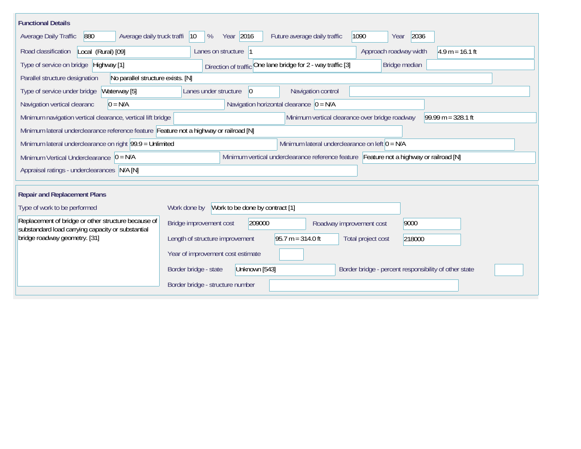| <b>Functional Details</b>                                                                                                             |                                                                                                 |  |  |  |  |  |  |  |  |  |  |
|---------------------------------------------------------------------------------------------------------------------------------------|-------------------------------------------------------------------------------------------------|--|--|--|--|--|--|--|--|--|--|
| 880<br>Average daily truck traffi<br>Average Daily Traffic                                                                            | Year 2016<br>2036<br>%<br>Future average daily traffic<br>1090<br>$ 10\rangle$<br>Year          |  |  |  |  |  |  |  |  |  |  |
| Local (Rural) [09]<br>Road classification                                                                                             | Lanes on structure  1<br>Approach roadway width<br>$4.9 m = 16.1 ft$                            |  |  |  |  |  |  |  |  |  |  |
| Type of service on bridge Highway [1]                                                                                                 | Direction of traffic One lane bridge for 2 - way traffic [3]<br>Bridge median                   |  |  |  |  |  |  |  |  |  |  |
| No parallel structure exists. [N]<br>Parallel structure designation                                                                   |                                                                                                 |  |  |  |  |  |  |  |  |  |  |
| Waterway [5]<br>Type of service under bridge                                                                                          | Navigation control<br>Lanes under structure<br>$\vert$ 0                                        |  |  |  |  |  |  |  |  |  |  |
| Navigation horizontal clearance $ 0 = N/A $<br>Navigation vertical clearanc<br>$0 = N/A$                                              |                                                                                                 |  |  |  |  |  |  |  |  |  |  |
| Minimum navigation vertical clearance, vertical lift bridge<br>Minimum vertical clearance over bridge roadway<br>$99.99 m = 328.1 ft$ |                                                                                                 |  |  |  |  |  |  |  |  |  |  |
| Minimum lateral underclearance reference feature Feature not a highway or railroad [N]                                                |                                                                                                 |  |  |  |  |  |  |  |  |  |  |
| Minimum lateral underclearance on right 99.9 = Unlimited<br>Minimum lateral underclearance on left $0 = N/A$                          |                                                                                                 |  |  |  |  |  |  |  |  |  |  |
| Minimum Vertical Underclearance $ 0 = N/A $                                                                                           | Minimum vertical underclearance reference feature Feature not a highway or railroad [N]         |  |  |  |  |  |  |  |  |  |  |
| Appraisal ratings - underclearances N/A [N]                                                                                           |                                                                                                 |  |  |  |  |  |  |  |  |  |  |
|                                                                                                                                       |                                                                                                 |  |  |  |  |  |  |  |  |  |  |
| <b>Repair and Replacement Plans</b>                                                                                                   |                                                                                                 |  |  |  |  |  |  |  |  |  |  |
| Type of work to be performed                                                                                                          | Work to be done by contract [1]<br>Work done by                                                 |  |  |  |  |  |  |  |  |  |  |
| Replacement of bridge or other structure because of<br>substandard load carrying capacity or substantial                              | Bridge improvement cost<br>209000<br>9000<br>Roadway improvement cost                           |  |  |  |  |  |  |  |  |  |  |
| bridge roadway geometry. [31]                                                                                                         | Length of structure improvement<br>$95.7 m = 314.0 ft$<br>Total project cost<br>218000          |  |  |  |  |  |  |  |  |  |  |
|                                                                                                                                       | Year of improvement cost estimate                                                               |  |  |  |  |  |  |  |  |  |  |
|                                                                                                                                       | Border bridge - state<br>Unknown [543]<br>Border bridge - percent responsibility of other state |  |  |  |  |  |  |  |  |  |  |
|                                                                                                                                       | Border bridge - structure number                                                                |  |  |  |  |  |  |  |  |  |  |